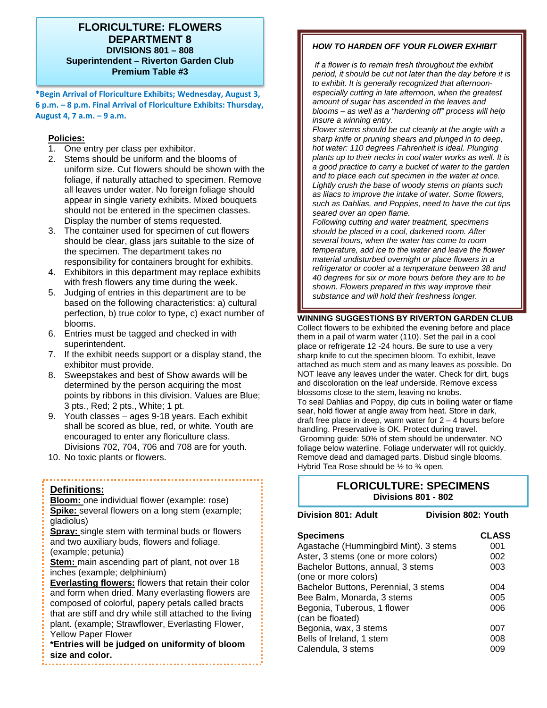### **FLORICULTURE: FLOWERS DEPARTMENT 8 DIVISIONS 801 – 808 Superintendent – Riverton Garden Club Premium Table #3**

**\*Begin Arrival of Floriculture Exhibits; Wednesday, August 3, 6 p.m. – 8 p.m. Final Arrival of Floriculture Exhibits: Thursday, August 4, 7 a.m. – 9 a.m.** 

#### **Policies:**

- 1. One entry per class per exhibitor.
- 2. Stems should be uniform and the blooms of uniform size. Cut flowers should be shown with the foliage, if naturally attached to specimen. Remove all leaves under water. No foreign foliage should appear in single variety exhibits. Mixed bouquets should not be entered in the specimen classes. Display the number of stems requested.
- 3. The container used for specimen of cut flowers should be clear, glass jars suitable to the size of the specimen. The department takes no responsibility for containers brought for exhibits.
- 4. Exhibitors in this department may replace exhibits with fresh flowers any time during the week.
- 5. Judging of entries in this department are to be based on the following characteristics: a) cultural perfection, b) true color to type, c) exact number of blooms.
- 6. Entries must be tagged and checked in with superintendent.
- 7. If the exhibit needs support or a display stand, the exhibitor must provide.
- 8. Sweepstakes and best of Show awards will be determined by the person acquiring the most points by ribbons in this division. Values are Blue; 3 pts., Red; 2 pts., White; 1 pt.
- 9. Youth classes ages 9-18 years. Each exhibit shall be scored as blue, red, or white. Youth are encouraged to enter any floriculture class. Divisions 702, 704, 706 and 708 are for youth.
- 10. No toxic plants or flowers.

#### **Definitions:**

**Bloom:** one individual flower (example: rose) **Spike:** several flowers on a long stem (example; gladiolus)

**Spray:** single stem with terminal buds or flowers and two auxiliary buds, flowers and foliage. (example; petunia)

**Stem:** main ascending part of plant, not over 18 inches (example; delphinium)

**Everlasting flowers:** flowers that retain their color and form when dried. Many everlasting flowers are composed of colorful, papery petals called bracts that are stiff and dry while still attached to the living plant. (example; Strawflower, Everlasting Flower, Yellow Paper Flower

**\*Entries will be judged on uniformity of bloom size and color.**

## *HOW TO HARDEN OFF YOUR FLOWER EXHIBIT*

*If a flower is to remain fresh throughout the exhibit period, it should be cut not later than the day before it is to exhibit. It is generally recognized that afternoonespecially cutting in late afternoon, when the greatest amount of sugar has ascended in the leaves and blooms – as well as a "hardening off" process will help insure a winning entry.* 

*Flower stems should be cut cleanly at the angle with a sharp knife or pruning shears and plunged in to deep, hot water: 110 degrees Fahrenheit is ideal. Plunging plants up to their necks in cool water works as well. It is a good practice to carry a bucket of water to the garden and to place each cut specimen in the water at once. Lightly crush the base of woody stems on plants such as lilacs to improve the intake of water. Some flowers, such as Dahlias, and Poppies, need to have the cut tips seared over an open flame.* 

*Following cutting and water treatment, specimens should be placed in a cool, darkened room. After several hours, when the water has come to room temperature, add ice to the water and leave the flower material undisturbed overnight or place flowers in a refrigerator or cooler at a temperature between 38 and 40 degrees for six or more hours before they are to be shown. Flowers prepared in this way improve their substance and will hold their freshness longer.* 

#### **WINNING SUGGESTIONS BY RIVERTON GARDEN CLUB**

Collect flowers to be exhibited the evening before and place them in a pail of warm water (110). Set the pail in a cool place or refrigerate 12 -24 hours. Be sure to use a very sharp knife to cut the specimen bloom. To exhibit, leave attached as much stem and as many leaves as possible. Do NOT leave any leaves under the water. Check for dirt, bugs and discoloration on the leaf underside. Remove excess blossoms close to the stem, leaving no knobs. To seal Dahlias and Poppy, dip cuts in boiling water or flame sear, hold flower at angle away from heat. Store in dark, draft free place in deep, warm water for  $2 - 4$  hours before handling. Preservative is OK. Protect during travel. Grooming guide: 50% of stem should be underwater. NO foliage below waterline. Foliage underwater will rot quickly. Remove dead and damaged parts. Disbud single blooms. Hybrid Tea Rose should be ½ to ¾ open.

# **FLORICULTURE: SPECIMENS Divisions 801 - 802**

| Division 801: Adult                   | Division 802: Youth |              |
|---------------------------------------|---------------------|--------------|
| <b>Specimens</b>                      |                     | <b>CLASS</b> |
| Agastache (Hummingbird Mint). 3 stems |                     | 001          |
| Aster, 3 stems (one or more colors)   |                     | 002          |
| Bachelor Buttons, annual, 3 stems     |                     | 003          |
| (one or more colors)                  |                     |              |
| Bachelor Buttons, Perennial, 3 stems  |                     | 004          |
| Bee Balm, Monarda, 3 stems            |                     | 005          |
| Begonia, Tuberous, 1 flower           |                     | 006          |
| (can be floated)                      |                     |              |
| Begonia, wax, 3 stems                 |                     | 007          |
| Bells of Ireland, 1 stem              |                     | 008          |
| Calendula, 3 stems                    |                     | 009          |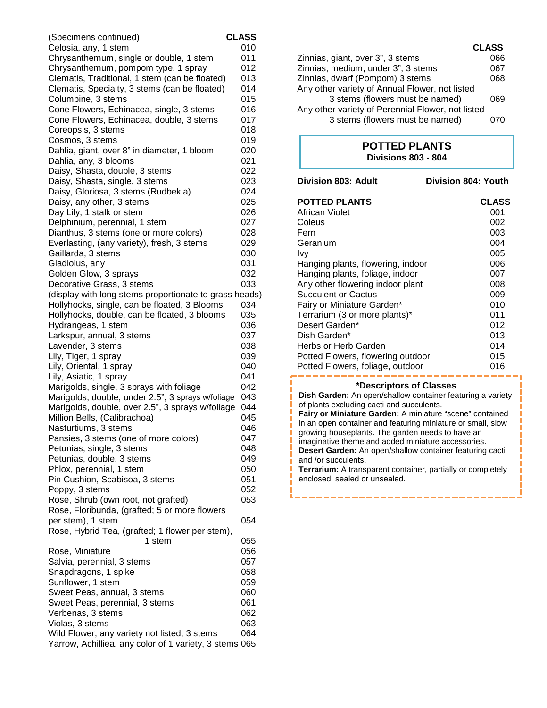| (Specimens continued)                                              | <b>CLASS</b> |
|--------------------------------------------------------------------|--------------|
| Celosia, any, 1 stem                                               | 010          |
| Chrysanthemum, single or double, 1 stem                            | 011          |
| Chrysanthemum, pompom type, 1 spray                                | 012          |
| Clematis, Traditional, 1 stem (can be floated)                     | 013          |
| Clematis, Specialty, 3 stems (can be floated)                      | 014          |
| Columbine, 3 stems                                                 | 015          |
| Cone Flowers, Echinacea, single, 3 stems                           | 016          |
| Cone Flowers, Echinacea, double, 3 stems                           | 017          |
| Coreopsis, 3 stems                                                 | 018          |
| Cosmos, 3 stems                                                    | 019          |
| Dahlia, giant, over 8" in diameter, 1 bloom                        | 020          |
| Dahlia, any, 3 blooms<br>Daisy, Shasta, double, 3 stems            | 021<br>022   |
| Daisy, Shasta, single, 3 stems                                     | 023          |
| Daisy, Gloriosa, 3 stems (Rudbekia)                                | 024          |
| Daisy, any other, 3 stems                                          | 025          |
| Day Lily, 1 stalk or stem                                          | 026          |
| Delphinium, perennial, 1 stem                                      | 027          |
| Dianthus, 3 stems (one or more colors)                             | 028          |
| Everlasting, (any variety), fresh, 3 stems                         | 029          |
| Gaillarda, 3 stems                                                 | 030          |
| Gladiolus, any                                                     | 031          |
| Golden Glow, 3 sprays                                              | 032          |
| Decorative Grass, 3 stems                                          | 033          |
| (display with long stems proportionate to grass heads)             |              |
| Hollyhocks, single, can be floated, 3 Blooms                       | 034          |
| Hollyhocks, double, can be floated, 3 blooms                       | 035          |
| Hydrangeas, 1 stem                                                 | 036          |
| Larkspur, annual, 3 stems                                          | 037          |
| Lavender, 3 stems                                                  | 038<br>039   |
| Lily, Tiger, 1 spray<br>Lily, Oriental, 1 spray                    | 040          |
| Lily, Asiatic, 1 spray                                             | 041          |
| Marigolds, single, 3 sprays with foliage                           | 042          |
| Marigolds, double, under 2.5", 3 sprays w/foliage                  | 043          |
| Marigolds, double, over 2.5", 3 sprays w/foliage                   | 044          |
| Million Bells, (Calibrachoa)                                       | 045          |
| Nasturtiums, 3 stems                                               | 046          |
| Pansies, 3 stems (one of more colors)                              | 047          |
| Petunias, single, 3 stems                                          | 048          |
| Petunias, double, 3 stems                                          | 049          |
| Phlox, perennial, 1 stem                                           | 050          |
| Pin Cushion, Scabisoa, 3 stems                                     | 051          |
| Poppy, 3 stems                                                     | 052          |
| Rose, Shrub (own root, not grafted)                                | 053          |
| Rose, Floribunda, (grafted; 5 or more flowers<br>per stem), 1 stem | 054          |
| Rose, Hybrid Tea, (grafted; 1 flower per stem),                    |              |
| 1 stem                                                             | 055          |
| Rose, Miniature                                                    | 056          |
| Salvia, perennial, 3 stems                                         | 057          |
| Snapdragons, 1 spike                                               | 058          |
| Sunflower, 1 stem                                                  | 059          |
| Sweet Peas, annual, 3 stems                                        | 060          |
| Sweet Peas, perennial, 3 stems                                     | 061          |
| Verbenas, 3 stems                                                  | 062          |
| Violas, 3 stems                                                    | 063          |
| Wild Flower, any variety not listed, 3 stems                       | 064          |
| Yarrow, Achilliea, any color of 1 variety, 3 stems 065             |              |

| <b>CLASS</b> |
|--------------|
| 066          |
| 067          |
| 068          |
|              |
| 069          |
|              |
| חלו          |
|              |

# **POTTED PLANTS Divisions 803 - 804**

| Division 803: Adult               | Division 804: Youth |
|-----------------------------------|---------------------|
| <b>POTTED PLANTS</b>              | <b>CLASS</b>        |
| African Violet                    | 001                 |
| Coleus                            | 002                 |
| Fern                              | 003                 |
| Geranium                          | 004                 |
| Ivy                               | 005                 |
| Hanging plants, flowering, indoor | 006                 |
| Hanging plants, foliage, indoor   | 007                 |
| Any other flowering indoor plant  | 008                 |
| <b>Succulent or Cactus</b>        | 009                 |
| Fairy or Miniature Garden*        | 010                 |
| Terrarium (3 or more plants)*     | 011                 |
| Desert Garden*                    | 012                 |
| Dish Garden*                      | 013                 |
| Herbs or Herb Garden              | 014                 |
| Potted Flowers, flowering outdoor | 015                 |
| Potted Flowers, foliage, outdoor  | 016                 |

#### **\*Descriptors of Classes**

**Dish Garden:** An open/shallow container featuring a variety of plants excluding cacti and succulents. **Fairy or Miniature Garden:** A miniature "scene" contained in an open container and featuring miniature or small, slow growing houseplants. The garden needs to have an imaginative theme and added miniature accessories. **Desert Garden:** An open/shallow container featuring cacti and /or succulents. **Terrarium:** A transparent container, partially or completely enclosed; sealed or unsealed.